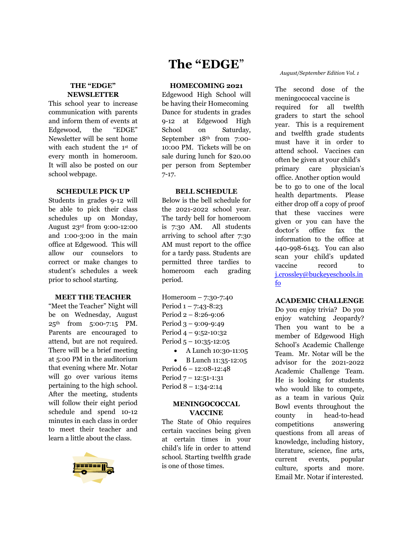# **THE "EDGE" NEWSLETTER**

This school year to increase communication with parents and inform them of events at Edgewood, the "EDGE" Newsletter will be sent home with each student the 1st of every month in homeroom. It will also be posted on our school webpage.

# **SCHEDULE PICK UP**

Students in grades 9-12 will be able to pick their class schedules up on Monday, August 23rd from 9:00-12:00 and 1:00-3:00 in the main office at Edgewood. This will allow our counselors to correct or make changes to student's schedules a week prior to school starting.

# **MEET THE TEACHER**

"Meet the Teacher" Night will be on Wednesday, August 25th from 5:00-7:15 PM. Parents are encouraged to attend, but are not required. There will be a brief meeting at 5:00 PM in the auditorium that evening where Mr. Notar will go over various items pertaining to the high school. After the meeting, students will follow their eight period schedule and spend 10-12 minutes in each class in order to meet their teacher and learn a little about the class.



# **The "EDGE**"

# **HOMECOMING 2021**

Edgewood High School will be having their Homecoming Dance for students in grades 9-12 at Edgewood High School on Saturday, September 18th from 7:00- 10:00 PM. Tickets will be on sale during lunch for \$20.00 per person from September 7-17.

# **BELL SCHEDULE**

Below is the bell schedule for the 2021-2022 school year. The tardy bell for homeroom is 7:30 AM. All students arriving to school after 7:30 AM must report to the office for a tardy pass. Students are permitted three tardies to homeroom each grading period.

Homeroom – 7:30-7:40 Period 1 – 7:43-8:23 Period 2 – 8:26-9:06 Period 3 – 9:09-9:49 Period 4 – 9:52-10:32 Period 5 – 10:35-12:05 • A Lunch 10:30-11:05 • B Lunch 11:35-12:05

Period 6 – 12:08-12:48 Period 7 – 12:51-1:31 Period 8 – 1:34-2:14

# **MENINGOCOCCAL VACCINE**

The State of Ohio requires certain vaccines being given at certain times in your child's life in order to attend school. Starting twelfth grade is one of those times.

#### *August/September Edition Vol. 1*

The second dose of the meningococcal vaccine is required for all twelfth graders to start the school year. This is a requirement and twelfth grade students must have it in order to attend school. Vaccines can often be given at your child's primary care physician's office. Another option would be to go to one of the local health departments. Please either drop off a copy of proof that these vaccines were given or you can have the doctor's office fax the information to the office at 440-998-6143. You can also scan your child's updated vaccine record to j.crossley@buckeyeschools.in fo

# **ACADEMIC CHALLENGE**

Do you enjoy trivia? Do you enjoy watching Jeopardy? Then you want to be a member of Edgewood High School's Academic Challenge Team. Mr. Notar will be the advisor for the 2021-2022 Academic Challenge Team. He is looking for students who would like to compete, as a team in various Quiz Bowl events throughout the county in head-to-head competitions answering questions from all areas of knowledge, including history, literature, science, fine arts, current events, popular culture, sports and more. Email Mr. Notar if interested.